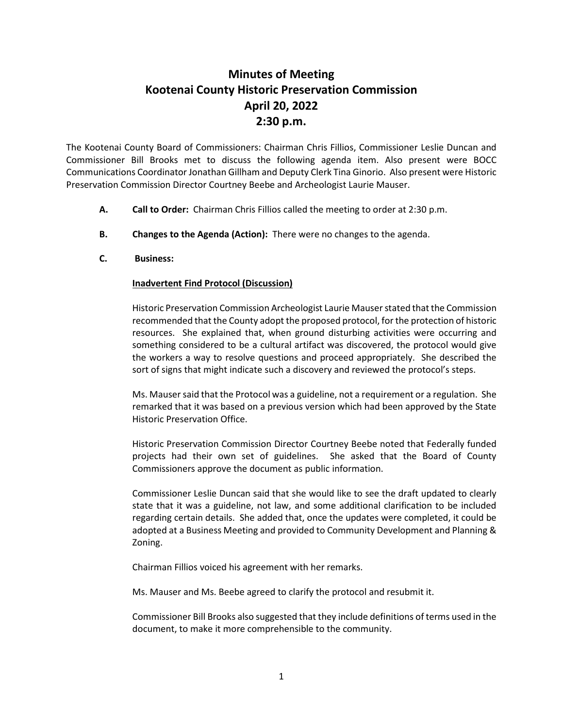## **Minutes of Meeting Kootenai County Historic Preservation Commission April 20, 2022 2:30 p.m.**

The Kootenai County Board of Commissioners: Chairman Chris Fillios, Commissioner Leslie Duncan and Commissioner Bill Brooks met to discuss the following agenda item. Also present were BOCC Communications Coordinator Jonathan Gillham and Deputy Clerk Tina Ginorio. Also present were Historic Preservation Commission Director Courtney Beebe and Archeologist Laurie Mauser.

- **A. Call to Order:** Chairman Chris Fillios called the meeting to order at 2:30 p.m.
- **B. Changes to the Agenda (Action):** There were no changes to the agenda.
- **C. Business:**

## **Inadvertent Find Protocol (Discussion)**

Historic Preservation Commission Archeologist Laurie Mauserstated that the Commission recommended that the County adopt the proposed protocol, for the protection of historic resources. She explained that, when ground disturbing activities were occurring and something considered to be a cultural artifact was discovered, the protocol would give the workers a way to resolve questions and proceed appropriately. She described the sort of signs that might indicate such a discovery and reviewed the protocol's steps.

Ms. Mausersaid that the Protocol was a guideline, not a requirement or a regulation. She remarked that it was based on a previous version which had been approved by the State Historic Preservation Office.

Historic Preservation Commission Director Courtney Beebe noted that Federally funded projects had their own set of guidelines. She asked that the Board of County Commissioners approve the document as public information.

Commissioner Leslie Duncan said that she would like to see the draft updated to clearly state that it was a guideline, not law, and some additional clarification to be included regarding certain details. She added that, once the updates were completed, it could be adopted at a Business Meeting and provided to Community Development and Planning & Zoning.

Chairman Fillios voiced his agreement with her remarks.

Ms. Mauser and Ms. Beebe agreed to clarify the protocol and resubmit it.

Commissioner Bill Brooks also suggested that they include definitions of terms used in the document, to make it more comprehensible to the community.